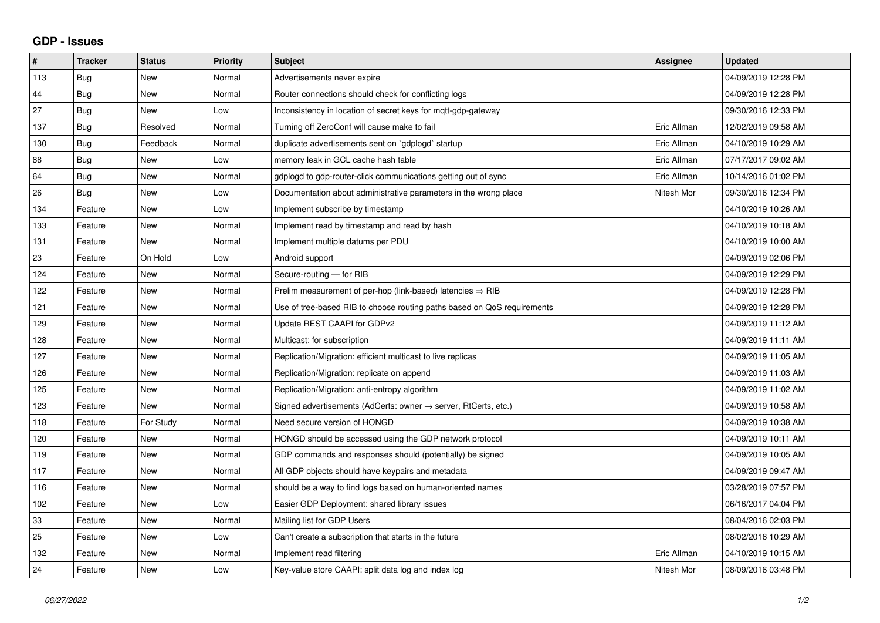## **GDP - Issues**

| $\pmb{\#}$ | <b>Tracker</b> | <b>Status</b> | Priority | Subject                                                                 | Assignee    | <b>Updated</b>      |
|------------|----------------|---------------|----------|-------------------------------------------------------------------------|-------------|---------------------|
| 113        | Bug            | <b>New</b>    | Normal   | Advertisements never expire                                             |             | 04/09/2019 12:28 PM |
| 44         | Bug            | <b>New</b>    | Normal   | Router connections should check for conflicting logs                    |             | 04/09/2019 12:28 PM |
| 27         | <b>Bug</b>     | New           | Low      | Inconsistency in location of secret keys for mqtt-gdp-gateway           |             | 09/30/2016 12:33 PM |
| 137        | Bug            | Resolved      | Normal   | Turning off ZeroConf will cause make to fail                            | Eric Allman | 12/02/2019 09:58 AM |
| 130        | Bug            | Feedback      | Normal   | duplicate advertisements sent on `gdplogd` startup                      | Eric Allman | 04/10/2019 10:29 AM |
| 88         | Bug            | New           | Low      | memory leak in GCL cache hash table                                     | Eric Allman | 07/17/2017 09:02 AM |
| 64         | <b>Bug</b>     | <b>New</b>    | Normal   | gdplogd to gdp-router-click communications getting out of sync          | Eric Allman | 10/14/2016 01:02 PM |
| 26         | <b>Bug</b>     | <b>New</b>    | Low      | Documentation about administrative parameters in the wrong place        | Nitesh Mor  | 09/30/2016 12:34 PM |
| 134        | Feature        | New           | Low      | Implement subscribe by timestamp                                        |             | 04/10/2019 10:26 AM |
| 133        | Feature        | <b>New</b>    | Normal   | Implement read by timestamp and read by hash                            |             | 04/10/2019 10:18 AM |
| 131        | Feature        | <b>New</b>    | Normal   | Implement multiple datums per PDU                                       |             | 04/10/2019 10:00 AM |
| 23         | Feature        | On Hold       | Low      | Android support                                                         |             | 04/09/2019 02:06 PM |
| 124        | Feature        | <b>New</b>    | Normal   | Secure-routing - for RIB                                                |             | 04/09/2019 12:29 PM |
| 122        | Feature        | <b>New</b>    | Normal   | Prelim measurement of per-hop (link-based) latencies $\Rightarrow$ RIB  |             | 04/09/2019 12:28 PM |
| 121        | Feature        | <b>New</b>    | Normal   | Use of tree-based RIB to choose routing paths based on QoS requirements |             | 04/09/2019 12:28 PM |
| 129        | Feature        | <b>New</b>    | Normal   | Update REST CAAPI for GDPv2                                             |             | 04/09/2019 11:12 AM |
| 128        | Feature        | <b>New</b>    | Normal   | Multicast: for subscription                                             |             | 04/09/2019 11:11 AM |
| 127        | Feature        | <b>New</b>    | Normal   | Replication/Migration: efficient multicast to live replicas             |             | 04/09/2019 11:05 AM |
| 126        | Feature        | <b>New</b>    | Normal   | Replication/Migration: replicate on append                              |             | 04/09/2019 11:03 AM |
| 125        | Feature        | <b>New</b>    | Normal   | Replication/Migration: anti-entropy algorithm                           |             | 04/09/2019 11:02 AM |
| 123        | Feature        | New           | Normal   | Signed advertisements (AdCerts: owner → server, RtCerts, etc.)          |             | 04/09/2019 10:58 AM |
| 118        | Feature        | For Study     | Normal   | Need secure version of HONGD                                            |             | 04/09/2019 10:38 AM |
| 120        | Feature        | <b>New</b>    | Normal   | HONGD should be accessed using the GDP network protocol                 |             | 04/09/2019 10:11 AM |
| 119        | Feature        | <b>New</b>    | Normal   | GDP commands and responses should (potentially) be signed               |             | 04/09/2019 10:05 AM |
| 117        | Feature        | <b>New</b>    | Normal   | All GDP objects should have keypairs and metadata                       |             | 04/09/2019 09:47 AM |
| 116        | Feature        | <b>New</b>    | Normal   | should be a way to find logs based on human-oriented names              |             | 03/28/2019 07:57 PM |
| 102        | Feature        | <b>New</b>    | Low      | Easier GDP Deployment: shared library issues                            |             | 06/16/2017 04:04 PM |
| 33         | Feature        | <b>New</b>    | Normal   | Mailing list for GDP Users                                              |             | 08/04/2016 02:03 PM |
| 25         | Feature        | <b>New</b>    | Low      | Can't create a subscription that starts in the future                   |             | 08/02/2016 10:29 AM |
| 132        | Feature        | <b>New</b>    | Normal   | Implement read filtering                                                | Eric Allman | 04/10/2019 10:15 AM |
| 24         | Feature        | <b>New</b>    | Low      | Key-value store CAAPI: split data log and index log                     | Nitesh Mor  | 08/09/2016 03:48 PM |